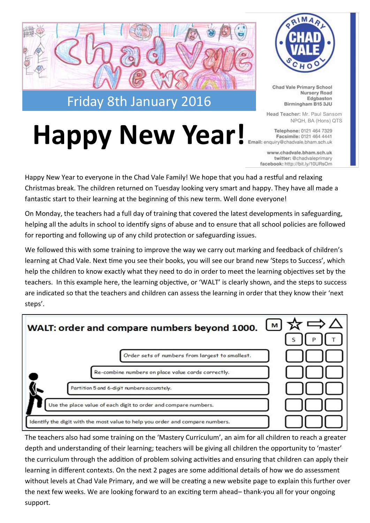

Happy New Year! **Email: enquiry@chadvale.bham.sch.uk** 



Chad Vale Primary School Nursery Road Edgbaston Birmingham B15 3JU

**Head Teacher:** Mr. Paul Sansom NPQH, BA (Hons) QTS

www.chadvale.bham.sch.uk twitter: @chadvaleprimary facebook: http://bit.ly/10URsOm

Happy New Year to everyone in the Chad Vale Family! We hope that you had a restful and relaxing Christmas break. The children returned on Tuesday looking very smart and happy. They have all made a fantastic start to their learning at the beginning of this new term. Well done everyone!

On Monday, the teachers had a full day of training that covered the latest developments in safeguarding, helping all the adults in school to identify signs of abuse and to ensure that all school policies are followed for reporting and following up of any child protection or safeguarding issues.

We followed this with some training to improve the way we carry out marking and feedback of children's learning at Chad Vale. Next time you see their books, you will see our brand new 'Steps to Success', which help the children to know exactly what they need to do in order to meet the learning objectives set by the teachers. In this example here, the learning objective, or 'WALT' is clearly shown, and the steps to success are indicated so that the teachers and children can assess the learning in order that they know their 'next steps'.

| WALT: order and compare numbers beyond 1000. $\boxed{\phantom{1}}$ $\overrightarrow{\mathbf{x}} \Rightarrow \Delta$ | S |
|---------------------------------------------------------------------------------------------------------------------|---|
| Order sets of numbers from largest to smallest.                                                                     |   |
| Re-combine numbers on place value cards correctly.                                                                  |   |
| Partition 5 and 6-digit numbers accurately.                                                                         |   |
| Use the place value of each digit to order and compare numbers.                                                     |   |
| Identify the digit with the most value to help you order and compare numbers.                                       |   |

The teachers also had some training on the 'Mastery Curriculum', an aim for all children to reach a greater depth and understanding of their learning; teachers will be giving all children the opportunity to 'master' the curriculum through the addition of problem solving activities and ensuring that children can apply their learning in different contexts. On the next 2 pages are some additional details of how we do assessment without levels at Chad Vale Primary, and we will be creating a new website page to explain this further over the next few weeks. We are looking forward to an exciting term ahead– thank-you all for your ongoing support.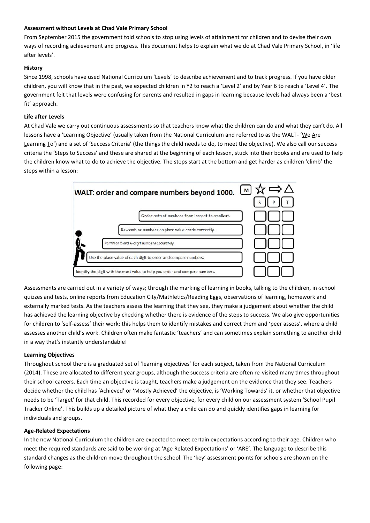#### **Assessment without Levels at Chad Vale Primary School**

From September 2015 the government told schools to stop using levels of attainment for children and to devise their own ways of recording achievement and progress. This document helps to explain what we do at Chad Vale Primary School, in 'life after levels'.

## **History**

Since 1998, schools have used National Curriculum 'Levels' to describe achievement and to track progress. If you have older children, you will know that in the past, we expected children in Y2 to reach a 'Level 2' and by Year 6 to reach a 'Level 4'. The government felt that levels were confusing for parents and resulted in gaps in learning because levels had always been a 'best fit' approach.

#### **Life after Levels**

At Chad Vale we carry out continuous assessments so that teachers know what the children can do and what they can't do. All lessons have a 'Learning Objective' (usually taken from the National Curriculum and referred to as the WALT- 'We Are Learning To') and a set of 'Success Criteria' (the things the child needs to do, to meet the objective). We also call our success criteria the 'Steps to Success' and these are shared at the beginning of each lesson, stuck into their books and are used to help the children know what to do to achieve the objective. The steps start at the bottom and get harder as children 'climb' the steps within a lesson:



Assessments are carried out in a variety of ways; through the marking of learning in books, talking to the children, in-school quizzes and tests, online reports from Education City/Mathletics/Reading Eggs, observations of learning, homework and externally marked tests. As the teachers assess the learning that they see, they make a judgement about whether the child has achieved the learning objective by checking whether there is evidence of the steps to success. We also give opportunities for children to 'self-assess' their work; this helps them to identify mistakes and correct them and 'peer assess', where a child assesses another child's work. Children often make fantastic 'teachers' and can sometimes explain something to another child in a way that's instantly understandable!

# **Learning Objectives**

Throughout school there is a graduated set of 'learning objectives' for each subject, taken from the National Curriculum (2014). These are allocated to different year groups, although the success criteria are often re-visited many times throughout their school careers. Each time an objective is taught, teachers make a judgement on the evidence that they see. Teachers decide whether the child has 'Achieved' or 'Mostly Achieved' the objective, is 'Working Towards' it, or whether that objective needs to be 'Target' for that child. This recorded for every objective, for every child on our assessment system 'School Pupil Tracker Online'. This builds up a detailed picture of what they a child can do and quickly identifies gaps in learning for individuals and groups.

#### **Age-Related Expectations**

In the new National Curriculum the children are expected to meet certain expectations according to their age. Children who meet the required standards are said to be working at 'Age Related Expectations' or 'ARE'. The language to describe this standard changes as the children move throughout the school. The 'key' assessment points for schools are shown on the following page: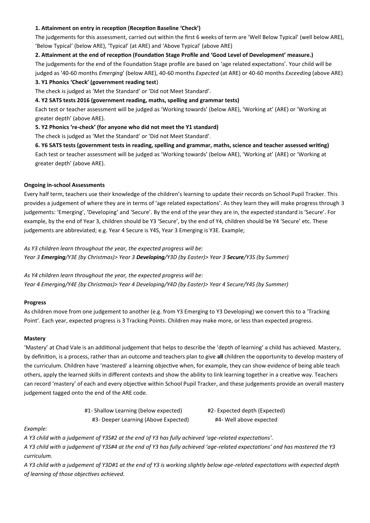## **1. Attainment on entry in reception (Reception Baseline 'Check')**

The judgements for this assessment, carried out within the first 6 weeks of term are 'Well Below Typical' (well below ARE), 'Below Typical' (below ARE), 'Typical' (at ARE) and 'Above Typical' (above ARE)

#### **2. Attainment at the end of reception (Foundation Stage Profile and 'Good Level of Development' measure.)**

The judgements for the end of the Foundation Stage profile are based on 'age related expectations'. Your child will be judged as '40-60 months *Emerging*' (below ARE), 40-60 months *Expected* (at ARE) or 40-60 months *Exceeding* (above ARE)

#### **3. Y1 Phonics 'Check' (government reading test**)

The check is judged as 'Met the Standard' or 'Did not Meet Standard'.

#### **4. Y2 SATS tests 2016 (government reading, maths, spelling and grammar tests)**

Each test or teacher assessment will be judged as 'Working towards' (below ARE), 'Working at' (ARE) or 'Working at greater depth' (above ARE).

## **5. Y2 Phonics 're-check' (for anyone who did not meet the Y1 standard)**

The check is judged as 'Met the Standard' or 'Did not Meet Standard'.

**6. Y6 SATS tests (government tests in reading, spelling and grammar, maths, science and teacher assessed writing)** Each test or teacher assessment will be judged as 'Working towards' (below ARE), 'Working at' (ARE) or 'Working at greater depth' (above ARE).

#### **Ongoing in-school Assessments**

Every half term, teachers use their knowledge of the children's learning to update their records on School Pupil Tracker. This provides a judgement of where they are in terms of 'age related expectations'. As they learn they will make progress through 3 judgements: 'Emerging', 'Developing' and 'Secure'. By the end of the year they are in, the expected standard is 'Secure'. For example, by the end of Year 3, children should be Y3 'Secure', by the end of Y4, children should be Y4 'Secure' etc. These judgements are abbreviated; e.g. Year 4 Secure is Y4S, Year 3 Emerging is Y3E. Example;

*As Y3 children learn throughout the year, the expected progress will be: Year 3 Emerging/Y3E (by Christmas)> Year 3 Developing/Y3D (by Easter)> Year 3 Secure/Y3S (by Summer)*

*As Y4 children learn throughout the year, the expected progress will be: Year 4 Emerging/Y4E (by Christmas)> Year 4 Developing/Y4D (by Easter)> Year 4 Secure/Y4S (by Summer)*

#### **Progress**

As children move from one judgement to another (e.g. from Y3 Emerging to Y3 Developing) we convert this to a 'Tracking Point'. Each year, expected progress is 3 Tracking Points. Children may make more, or less than expected progress.

#### **Mastery**

'Mastery' at Chad Vale is an additional judgement that helps to describe the 'depth of learning' a child has achieved. Mastery, by definition, is a process, rather than an outcome and teachers plan to give **all** children the opportunity to develop mastery of the curriculum. Children have 'mastered' a learning objective when, for example, they can show evidence of being able teach others, apply the learned skills in different contexts and show the ability to link learning together in a creative way. Teachers can record 'mastery' of each and every objective within School Pupil Tracker, and these judgements provide an overall mastery judgement tagged onto the end of the ARE code.

#1- Shallow Learning (below expected) #2- Expected depth (Expected)

#3- Deeper Learning (Above Expected) #4- Well above expected

# *Example:*

*A Y3 child with a judgement of Y3S#2 at the end of Y3 has fully achieved 'age-related expectations'.*

*A Y3 child with a judgement of Y3S#4 at the end of Y3 has fully achieved 'age-related expectations' and has mastered the Y3 curriculum.* 

*A Y3 child with a judgement of Y3D#1 at the end of Y3 is working slightly below age-related expectations with expected depth of learning of those objectives achieved.*